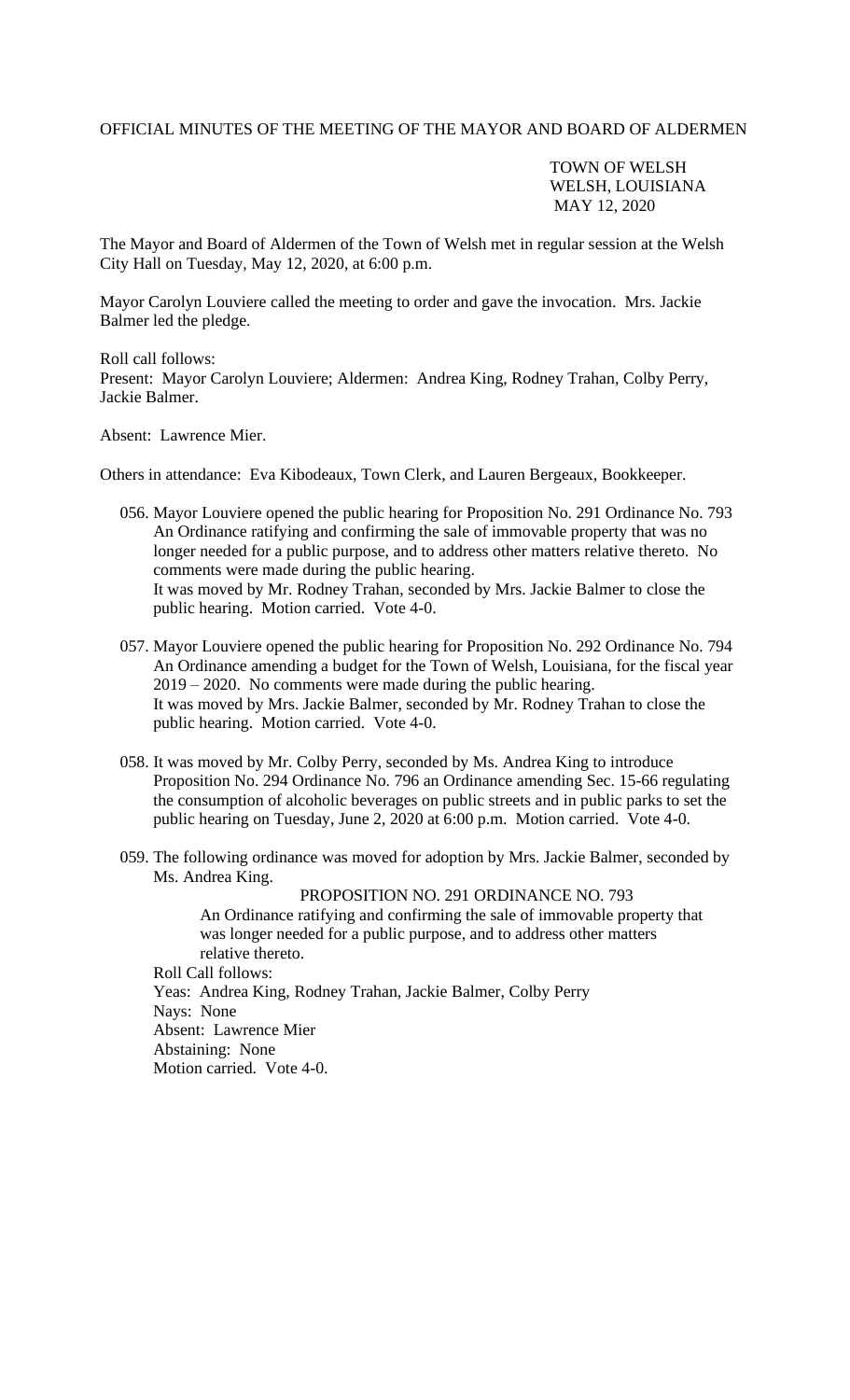## OFFICIAL MINUTES OF THE MEETING OF THE MAYOR AND BOARD OF ALDERMEN

TOWN OF WELSH WELSH, LOUISIANA MAY 12, 2020

The Mayor and Board of Aldermen of the Town of Welsh met in regular session at the Welsh City Hall on Tuesday, May 12, 2020, at 6:00 p.m.

Mayor Carolyn Louviere called the meeting to order and gave the invocation. Mrs. Jackie Balmer led the pledge.

Roll call follows: Present: Mayor Carolyn Louviere; Aldermen: Andrea King, Rodney Trahan, Colby Perry, Jackie Balmer.

Absent: Lawrence Mier.

Others in attendance: Eva Kibodeaux, Town Clerk, and Lauren Bergeaux, Bookkeeper.

- 056. Mayor Louviere opened the public hearing for Proposition No. 291 Ordinance No. 793 An Ordinance ratifying and confirming the sale of immovable property that was no longer needed for a public purpose, and to address other matters relative thereto. No comments were made during the public hearing. It was moved by Mr. Rodney Trahan, seconded by Mrs. Jackie Balmer to close the public hearing. Motion carried. Vote 4-0.
- 057. Mayor Louviere opened the public hearing for Proposition No. 292 Ordinance No. 794 An Ordinance amending a budget for the Town of Welsh, Louisiana, for the fiscal year 2019 – 2020. No comments were made during the public hearing. It was moved by Mrs. Jackie Balmer, seconded by Mr. Rodney Trahan to close the public hearing. Motion carried. Vote 4-0.
- 058. It was moved by Mr. Colby Perry, seconded by Ms. Andrea King to introduce Proposition No. 294 Ordinance No. 796 an Ordinance amending Sec. 15-66 regulating the consumption of alcoholic beverages on public streets and in public parks to set the public hearing on Tuesday, June 2, 2020 at 6:00 p.m. Motion carried. Vote 4-0.
- 059. The following ordinance was moved for adoption by Mrs. Jackie Balmer, seconded by Ms. Andrea King.

PROPOSITION NO. 291 ORDINANCE NO. 793 An Ordinance ratifying and confirming the sale of immovable property that was longer needed for a public purpose, and to address other matters relative thereto. Roll Call follows: Yeas: Andrea King, Rodney Trahan, Jackie Balmer, Colby Perry Nays: None Absent: Lawrence Mier

 Abstaining: None Motion carried. Vote 4-0.